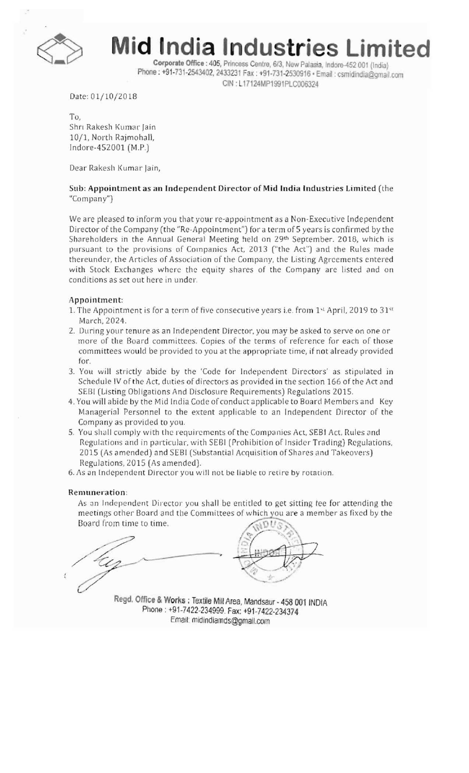

**id India Indu** 

Corporate Office: 405, Princess Centre, 6/3, New Palasia, Indore-452 001 (India) Phone : +91-731-2543402, 2433231 Fax : +91-731-2530916 • Email : csmidindia@gmail.com CIN: L17124MP1991PLC006324

Date: 01/10/2018

To, Shri Rakesh Kumar Jain 10/1, North Rajmohall, Indore-452001 (M.P.)

Dear Rakesh Kumar Jain,

### Sub: Appointment as an Independent Director of Mid India Industries Limited (the "Company")

We are pleased to inform you that your re-appointment as a Non-Executive Independent Director of the Company (the "Re-Appointment") for a term of 5 years is confirmed by the Shareholders in the Annual General Meeting held on 29th September. 2018, which is pursuant to the provisions of Companies Act, 2013 ("the Act") and the Rules made thereunder, the Articles of Association of the Company, the Listing Agreements entered with Stock Exchanges where the equity shares of the Company are listed and on conditions as set out here in under.

#### Appointment:

- 1. The Appointment is for a term of five consecutive years i.e. from  $1<sup>st</sup>$  April, 2019 to 31 $<sup>st</sup>$ </sup> March, 2024.
- 2. During your tenure as an Independent Director, you may be asked to serve on one or more of the Board committees. Copies of the terms of reference for each of those committees would be provided to you at the appropriate time, if not already provided for.
- 3. You will strictly abide by the 'Code for Independent Directors' as stipulated in Schedule lV of the Act, duties of directors as provided in the section 166 of the Act and SEBI (Listing Obligations And Disclosure Requirements) Regulations 2015.
- 4. You will abide by the Mid India Code of conduct applicable to Board Members and Key Managerial Personnel to the extent applicable to an Independent Director of the Company as provided to you.
- 5. You shall comply with the requirements of the Companies Act, SEBI Act, Rules and Regulations and in particular, with SEBI (Prohibition of Insider Trading) Regulations, 2015 (As amended) and SEB! (Substantial Acquisition of Shares and Takeovers) Regulations, 2015 {As amended}.
- 6. As an Independent Director you will not be liable to retire by rotation.

#### Remuneration:

As an Independent Director you shall be entitled to get sitting tee for attending the meetings other Board and the Committees of which you are a member as fixed by the Board from time to time.

Regd. Office & Works; Textile Mill Area, Mandsaur - 458 001 INDIA Phone: +91-7422-234999. Fax: +91-7422-2343,74 Email: midindiamds@gmail.com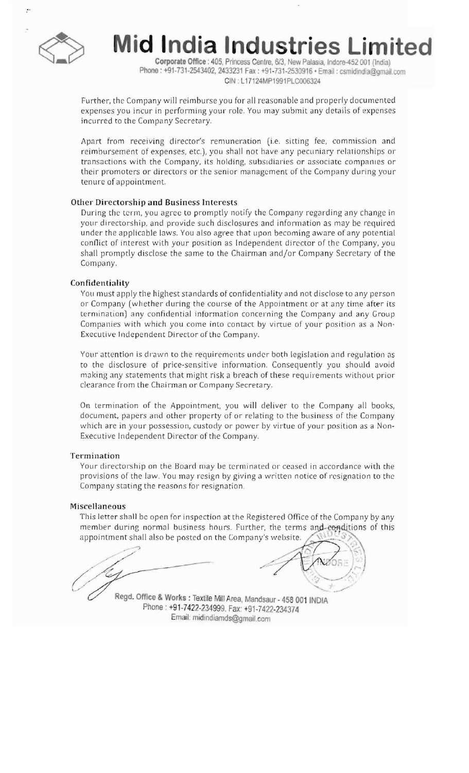

**lid India Industries Limited** 

Corporate Office: 405, Princess Centre, 6/3, New Palasia, Indore-452 001 (India) Phone: +91-731-2543402, 2433231 Fax: +91-731-2530916 · Email: csmidindia@gmail.com CIN: L17124MP1991PLC006324

Further, the Company will reimburse you for all reasonable and properly documented expenses you incur in performing your role. You may submit any details of expenses incurred to the Company Secretary.

Apart from receiving director's remuneration {i.e. sitting fee, commission and reimbursement of expenses, etc.), you shall not have any pecuniary relationships or transactions with the Company, its holding, subsidiaries or associate companies or their promoters or directors or the senior management of the Company during your tenure of appointment.

#### Other Directorship and Business Interests

During the term, you agree to promptly notify the Company regarding any change in your directorship, and provide such disclosures and information as may be required under the applicable laws. You also agree that upon becoming aware of any potential conflict of interest with your position as Independent director of the Company, you shall promptly disclose the same to the Chairman and/or Company Secretary of the Company.

#### Confidentiality

You must apply the highest standards of confidentiality and not disclose to any person or Company (whether during the course of the Appointment or at any time after its termination) any confidential information concerning the Company and any Group Companies with which you come into contact by virtue of your position as a Non-Executive Independent Director of the Company.

Your attention is drawn to the requirements under both legislation and regulation as to the disclosure of price-sensitive information. Consequently you should avoid making any statements that might risk a breach of these requirements without prior clearance from the Chairman or Company Secretary.

On termination of the Appointment, you will deliver to the Company all books, document, papers and other property of or relating to the business of the Company which are in your possession, custody or power by virtue of your position as a Non Executive Independent Director of the Company.

#### Termination

Your directorship on the Board may be terminated or ceased in accordance with the provisions of the law. You may resign by giving a written notice of resignation to the Company stating the reasons for resignation.

#### Miscellaneous

This letter shall be open for inspection at the Registered Office of the Company by any member during normal business hours. Further, the terms and eonditions of this appointment shall also be posted on the Company's website.

 $\rightarrow$ 

Regd. Office & Works: Textile Mill Area, Mandsaur - 458 001 INDIA Phone: +91-7422-234999. Fax: +91-7422-234374 Email: midindiamds@gmail.com